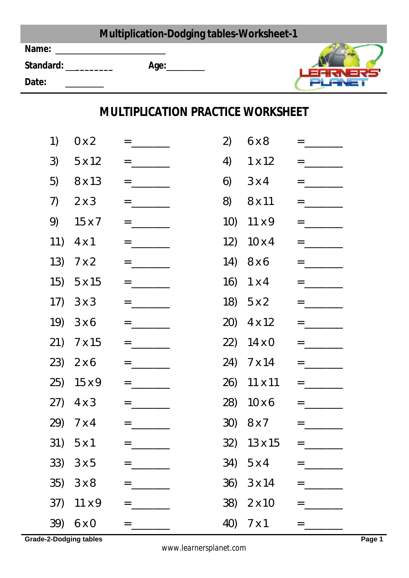|                                                 |                       |                                                                                                                                                                                                                                                                                                                        | <b>Multiplication-Dodging tables-Worksheet-1</b> |                   |                                                                                                                                                                                                                                                                                                                        |
|-------------------------------------------------|-----------------------|------------------------------------------------------------------------------------------------------------------------------------------------------------------------------------------------------------------------------------------------------------------------------------------------------------------------|--------------------------------------------------|-------------------|------------------------------------------------------------------------------------------------------------------------------------------------------------------------------------------------------------------------------------------------------------------------------------------------------------------------|
| Date:                                           | Standard: ___________ |                                                                                                                                                                                                                                                                                                                        |                                                  |                   |                                                                                                                                                                                                                                                                                                                        |
|                                                 |                       |                                                                                                                                                                                                                                                                                                                        | <b>MULTIPLICATION PRACTICE WORKSHEET</b>         |                   |                                                                                                                                                                                                                                                                                                                        |
| $\left( \begin{array}{c} 1 \end{array} \right)$ | 0 x 2                 |                                                                                                                                                                                                                                                                                                                        | 2)                                               | 6x8               | $= \underbrace{\qquad \qquad }_{\qquad \qquad }=\underbrace{\qquad \qquad }_{\qquad \qquad }$                                                                                                                                                                                                                          |
| 3)                                              | 5x12                  | $\equiv$ 100 $\pm$ 100 $\pm$                                                                                                                                                                                                                                                                                           | 4)                                               | $1 \times 12$     | $\equiv$ 100 $\pm$ 100 $\pm$                                                                                                                                                                                                                                                                                           |
| 5)                                              | 8 x 13                |                                                                                                                                                                                                                                                                                                                        | 6)                                               | $3 \times 4$      | $=$ _________                                                                                                                                                                                                                                                                                                          |
| 7)                                              | $2 \times 3$          |                                                                                                                                                                                                                                                                                                                        |                                                  | 8) 8 x 11         | $=$ $\frac{1}{2}$ $\frac{1}{2}$ $\frac{1}{2}$ $\frac{1}{2}$ $\frac{1}{2}$ $\frac{1}{2}$ $\frac{1}{2}$ $\frac{1}{2}$ $\frac{1}{2}$ $\frac{1}{2}$ $\frac{1}{2}$ $\frac{1}{2}$ $\frac{1}{2}$ $\frac{1}{2}$ $\frac{1}{2}$ $\frac{1}{2}$ $\frac{1}{2}$ $\frac{1}{2}$ $\frac{1}{2}$ $\frac{1}{2}$ $\frac{1}{2}$ $\frac{1}{2$ |
|                                                 | 9) $15x7$             | $=$ $\frac{1}{2}$ $\frac{1}{2}$ $\frac{1}{2}$ $\frac{1}{2}$ $\frac{1}{2}$ $\frac{1}{2}$ $\frac{1}{2}$ $\frac{1}{2}$ $\frac{1}{2}$ $\frac{1}{2}$ $\frac{1}{2}$ $\frac{1}{2}$ $\frac{1}{2}$ $\frac{1}{2}$ $\frac{1}{2}$ $\frac{1}{2}$ $\frac{1}{2}$ $\frac{1}{2}$ $\frac{1}{2}$ $\frac{1}{2}$ $\frac{1}{2}$ $\frac{1}{2$ |                                                  | 10) $11 \times 9$ |                                                                                                                                                                                                                                                                                                                        |
|                                                 | 11) $4 \times 1$      | $\equiv$ 100 $\pm$ 100 $\pm$                                                                                                                                                                                                                                                                                           |                                                  | 12) $10 \times 4$ | $= \underline{\qquad \qquad }$                                                                                                                                                                                                                                                                                         |
|                                                 | 13) $7 \times 2$      | $\equiv$ 100 $\pm$ 100 $\pm$                                                                                                                                                                                                                                                                                           |                                                  | 14) 8 x 6         | $\equiv$ 100 $\pm$ 100 $\pm$                                                                                                                                                                                                                                                                                           |
|                                                 | $15)$ 5 x 15          | $\equiv$ 100 $\pm$ 100 $\pm$                                                                                                                                                                                                                                                                                           |                                                  | 16) $1 \times 4$  | $\equiv$ 100 $\pm$ 100 $\pm$                                                                                                                                                                                                                                                                                           |
|                                                 | 17) $3 \times 3$      | $\equiv$ 100 $\pm$ 100 $\pm$                                                                                                                                                                                                                                                                                           |                                                  | 18) $5x2$         | $=$ $\frac{1}{2}$ $\frac{1}{2}$ $\frac{1}{2}$ $\frac{1}{2}$ $\frac{1}{2}$ $\frac{1}{2}$ $\frac{1}{2}$ $\frac{1}{2}$ $\frac{1}{2}$ $\frac{1}{2}$ $\frac{1}{2}$ $\frac{1}{2}$ $\frac{1}{2}$ $\frac{1}{2}$ $\frac{1}{2}$ $\frac{1}{2}$ $\frac{1}{2}$ $\frac{1}{2}$ $\frac{1}{2}$ $\frac{1}{2}$ $\frac{1}{2}$ $\frac{1}{2$ |
|                                                 | $19) 3 \times 6$      | $\equiv$ 100 $\pm$ 100 $\pm$                                                                                                                                                                                                                                                                                           |                                                  | 20) $4 \times 12$ | $\equiv$ 100 $\pm$ 100 $\pm$                                                                                                                                                                                                                                                                                           |
|                                                 | 21) 7 x 15            | $=$ $ -$                                                                                                                                                                                                                                                                                                               |                                                  | 22) $14 \times 0$ | $=$ $\frac{1}{2}$ $\frac{1}{2}$ $\frac{1}{2}$ $\frac{1}{2}$ $\frac{1}{2}$ $\frac{1}{2}$ $\frac{1}{2}$ $\frac{1}{2}$ $\frac{1}{2}$ $\frac{1}{2}$ $\frac{1}{2}$ $\frac{1}{2}$ $\frac{1}{2}$ $\frac{1}{2}$ $\frac{1}{2}$ $\frac{1}{2}$ $\frac{1}{2}$ $\frac{1}{2}$ $\frac{1}{2}$ $\frac{1}{2}$ $\frac{1}{2}$ $\frac{1}{2$ |
|                                                 | 23) 2 x 6             | $= \underbrace{\qquad \qquad }_{\qquad \qquad }$                                                                                                                                                                                                                                                                       |                                                  | 24) 7 x 14        | $= \underbrace{\qquad \qquad }_{\qquad \qquad }= \underbrace{\qquad \qquad }_{\qquad \qquad }$                                                                                                                                                                                                                         |
|                                                 | 25) 15 x 9            | $=$ _________                                                                                                                                                                                                                                                                                                          |                                                  | 26) 11 x 11       |                                                                                                                                                                                                                                                                                                                        |
|                                                 | $(27)$ 4 x 3          | $=$ __________                                                                                                                                                                                                                                                                                                         |                                                  | 28) 10 x 6        |                                                                                                                                                                                                                                                                                                                        |
|                                                 | 29) 7 x 4             |                                                                                                                                                                                                                                                                                                                        |                                                  | 30) 8 x 7         | $=$ _________                                                                                                                                                                                                                                                                                                          |
|                                                 | 31) 5x1               |                                                                                                                                                                                                                                                                                                                        |                                                  | 32) 13 x 15       |                                                                                                                                                                                                                                                                                                                        |
|                                                 | 33) $3 \times 5$      | $\equiv$ 100 $\pm$ 100 $\pm$                                                                                                                                                                                                                                                                                           |                                                  | 34) 5 x 4         |                                                                                                                                                                                                                                                                                                                        |
|                                                 | $35)$ $3 \times 8$    | $=$                                                                                                                                                                                                                                                                                                                    |                                                  | 36) 3 x 14        | $=$ __________                                                                                                                                                                                                                                                                                                         |
|                                                 | 37) 11 x 9            | $\equiv$ 100 $\pm$ 100 $\pm$                                                                                                                                                                                                                                                                                           |                                                  | 38) 2 x 10        | $= \underbrace{\qquad \qquad }_{\textstyle \cdots \textstyle \cdots \textstyle \cdots \textstyle \cdots \textstyle \cdots \textstyle \cdots \textstyle \cdots \textstyle \cdots \textstyle \cdots \textstyle \cdots \textstyle \cdots \textstyle \cdots$                                                               |
|                                                 | 39) 6 x 0             |                                                                                                                                                                                                                                                                                                                        |                                                  | 40) 7 x 1         |                                                                                                                                                                                                                                                                                                                        |

**Grade-2-Dodging tables Page 1** 

*www.learnersplanet.com*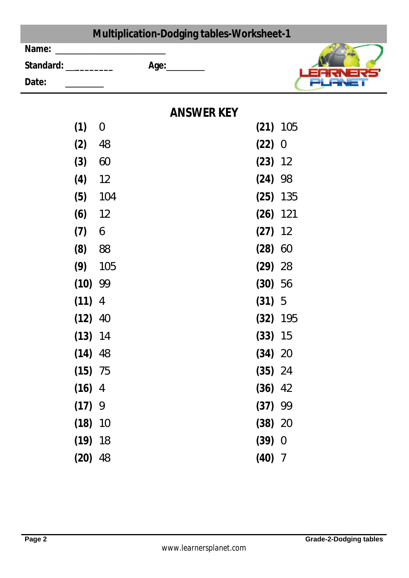|                      | <b>Multiplication-Dodging tables-Worksheet-1</b> |           |                |
|----------------------|--------------------------------------------------|-----------|----------------|
| Name:                |                                                  |           |                |
| Standard: __________ | Age:_________                                    |           |                |
| Date:                |                                                  |           |                |
|                      | <b>ANSWER KEY</b>                                |           |                |
| (1)                  | $\theta$                                         |           | $(21)$ 105     |
| (2)                  | 48                                               | (22)      | $\overline{0}$ |
| (3)                  | 60                                               | $(23)$ 12 |                |
| (4)                  | 12                                               | $(24)$ 98 |                |
| (5)                  | 104                                              |           | $(25)$ 135     |
| (6)                  | 12                                               |           | $(26)$ 121     |
| (7)                  | 6                                                | $(27)$ 12 |                |
| (8)                  | 88                                               | (28)      | 60             |
| (9)                  | 105                                              | (29)      | 28             |
| (10)                 | 99                                               | $(30)$ 56 |                |
| $(11)$ 4             |                                                  | (31) 5    |                |
| (12)                 | 40                                               |           | $(32)$ 195     |
| $(13)$ 14            |                                                  | (33) 15   |                |
| $(14)$ 48            |                                                  | $(34)$ 20 |                |
| $(15)$ 75            |                                                  | $(35)$ 24 |                |
| $(16)$ 4             |                                                  | $(36)$ 42 |                |
| (17)9                |                                                  | $(37)$ 99 |                |
| $(18)$ 10            |                                                  | $(38)$ 20 |                |
| $(19)$ 18            |                                                  | (39) 0    |                |
| $(20)$ 48            |                                                  | $(40)$ 7  |                |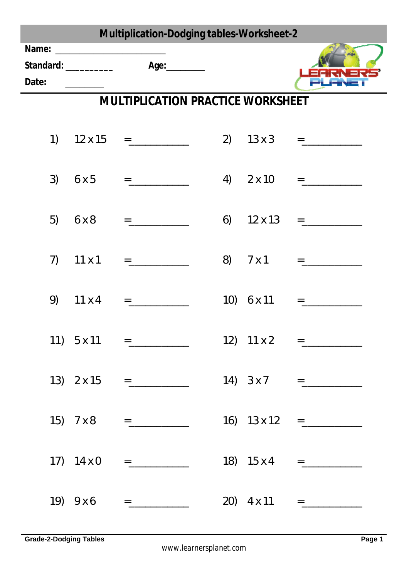| <b>Multiplication-Dodging tables-Worksheet-2</b> |  |                                          |    |                |                                                                                                                                                                                                                                                                                                                                                                                                                                                                                                                                                    |  |  |
|--------------------------------------------------|--|------------------------------------------|----|----------------|----------------------------------------------------------------------------------------------------------------------------------------------------------------------------------------------------------------------------------------------------------------------------------------------------------------------------------------------------------------------------------------------------------------------------------------------------------------------------------------------------------------------------------------------------|--|--|
| Date:                                            |  |                                          |    |                |                                                                                                                                                                                                                                                                                                                                                                                                                                                                                                                                                    |  |  |
|                                                  |  | <b>MULTIPLICATION PRACTICE WORKSHEET</b> |    |                |                                                                                                                                                                                                                                                                                                                                                                                                                                                                                                                                                    |  |  |
| 1)                                               |  | $12 \times 15$ =                         |    |                | 2) $13 \times 3 =$                                                                                                                                                                                                                                                                                                                                                                                                                                                                                                                                 |  |  |
| 3)                                               |  | $6 \times 5$ =                           |    |                | 4) $2 \times 10 =$                                                                                                                                                                                                                                                                                                                                                                                                                                                                                                                                 |  |  |
| 5)                                               |  |                                          | 6) | $12 \times 13$ | $\qquad \qquad \equiv \qquad \qquad \underbrace{\qquad \qquad }_{\qquad \qquad \cdots \qquad \qquad }% \qquad \qquad \underbrace{\qquad \qquad }_{\qquad \cdots \qquad \qquad }% \qquad \qquad \underbrace{\qquad \qquad }_{\qquad \cdots \qquad \qquad }% \qquad \qquad \underbrace{\qquad \qquad }_{\qquad \cdots \qquad \qquad }% \qquad \qquad \underbrace{\qquad \qquad }_{\qquad \cdots \qquad \qquad }% \qquad \qquad \underbrace{\qquad \qquad }_{\qquad \cdots \qquad \qquad }% \qquad \qquad \underbrace{\qquad \qquad }_{\qquad \cdots$ |  |  |
| 7)                                               |  |                                          | 8) | 7 x 1          |                                                                                                                                                                                                                                                                                                                                                                                                                                                                                                                                                    |  |  |
| 9)                                               |  | $11 \times 4 =$                          |    | 10) 6 x 11     | $=$ $\frac{1}{2}$ $\frac{1}{2}$ $\frac{1}{2}$ $\frac{1}{2}$ $\frac{1}{2}$ $\frac{1}{2}$ $\frac{1}{2}$ $\frac{1}{2}$ $\frac{1}{2}$ $\frac{1}{2}$ $\frac{1}{2}$ $\frac{1}{2}$ $\frac{1}{2}$ $\frac{1}{2}$ $\frac{1}{2}$ $\frac{1}{2}$ $\frac{1}{2}$ $\frac{1}{2}$ $\frac{1}{2}$ $\frac{1}{2}$ $\frac{1}{2}$ $\frac{1}{2$                                                                                                                                                                                                                             |  |  |
|                                                  |  |                                          |    |                |                                                                                                                                                                                                                                                                                                                                                                                                                                                                                                                                                    |  |  |
|                                                  |  | $13)$ 2 x 15 =                           |    |                | $14)$ $3 \times 7$ =                                                                                                                                                                                                                                                                                                                                                                                                                                                                                                                               |  |  |
|                                                  |  | $15)$ 7 x 8 =                            |    |                | 16) $13 \times 12 =$                                                                                                                                                                                                                                                                                                                                                                                                                                                                                                                               |  |  |
|                                                  |  | $17)$ $14 \times 0$ =                    |    |                | 18) $15 \times 4 =$ _______________                                                                                                                                                                                                                                                                                                                                                                                                                                                                                                                |  |  |
|                                                  |  | $(19)$ 9 x 6 =                           |    |                | 20) $4 \times 11$ =                                                                                                                                                                                                                                                                                                                                                                                                                                                                                                                                |  |  |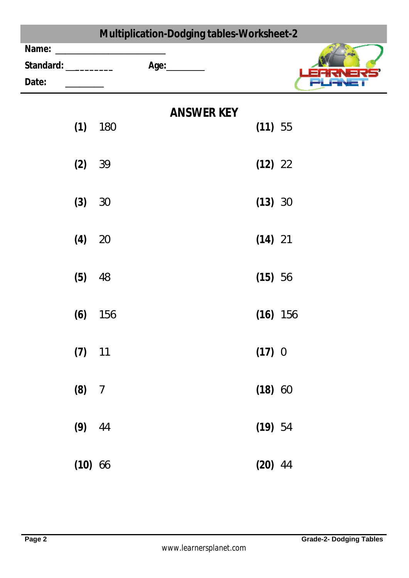|       |                                       | Multiplication-Dodging tables-Worksheet-2 |                                   |  |           |            |  |
|-------|---------------------------------------|-------------------------------------------|-----------------------------------|--|-----------|------------|--|
| Name: |                                       |                                           |                                   |  |           |            |  |
|       |                                       |                                           | Standard: ___________ Age: ______ |  |           |            |  |
| Date: | <u> 1999 - Jan Barnett, politik e</u> |                                           |                                   |  |           |            |  |
|       |                                       |                                           | <b>ANSWER KEY</b>                 |  |           |            |  |
|       | (1)                                   | 180                                       |                                   |  | (11) 55   |            |  |
|       | (2)                                   | 39                                        |                                   |  | $(12)$ 22 |            |  |
|       | (3)                                   | 30                                        |                                   |  | (13) 30   |            |  |
|       | (4)                                   | 20                                        |                                   |  | $(14)$ 21 |            |  |
|       | (5)                                   | 48                                        |                                   |  | (15) 56   |            |  |
|       | (6)                                   | 156                                       |                                   |  |           | $(16)$ 156 |  |
|       | $(7)$ 11                              |                                           |                                   |  | (17) 0    |            |  |
|       | (8) 7                                 |                                           |                                   |  | (18) 60   |            |  |
|       | $(9)$ 44                              |                                           |                                   |  | (19) 54   |            |  |
|       | $(10)$ 66                             |                                           |                                   |  | $(20)$ 44 |            |  |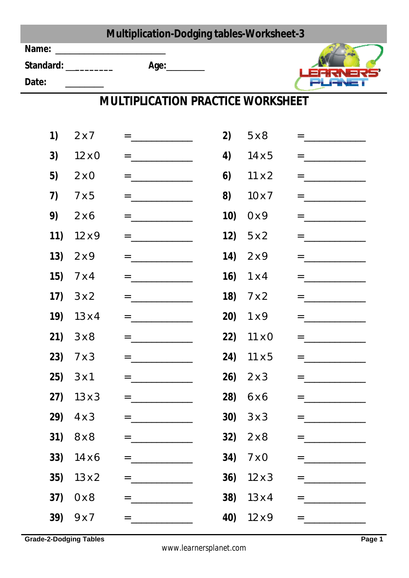|       |                    | <b>Multiplication-Dodging tables-Worksheet-3</b>                                              |      |                    |                                                                                                                                                                                                                                                                                                                                                                                                                                                                                                                                                                                   |
|-------|--------------------|-----------------------------------------------------------------------------------------------|------|--------------------|-----------------------------------------------------------------------------------------------------------------------------------------------------------------------------------------------------------------------------------------------------------------------------------------------------------------------------------------------------------------------------------------------------------------------------------------------------------------------------------------------------------------------------------------------------------------------------------|
|       |                    |                                                                                               |      |                    |                                                                                                                                                                                                                                                                                                                                                                                                                                                                                                                                                                                   |
| Date: |                    |                                                                                               |      |                    |                                                                                                                                                                                                                                                                                                                                                                                                                                                                                                                                                                                   |
|       |                    | <b>MULTIPLICATION PRACTICE WORKSHEET</b>                                                      |      |                    |                                                                                                                                                                                                                                                                                                                                                                                                                                                                                                                                                                                   |
|       |                    |                                                                                               |      |                    |                                                                                                                                                                                                                                                                                                                                                                                                                                                                                                                                                                                   |
| 1)    | 2x7                | = <u>________________</u>                                                                     | 2)   | 5x8                | $=$ $\frac{1}{2}$ $\frac{1}{2}$ $\frac{1}{2}$ $\frac{1}{2}$ $\frac{1}{2}$ $\frac{1}{2}$ $\frac{1}{2}$ $\frac{1}{2}$ $\frac{1}{2}$ $\frac{1}{2}$ $\frac{1}{2}$ $\frac{1}{2}$ $\frac{1}{2}$ $\frac{1}{2}$ $\frac{1}{2}$ $\frac{1}{2}$ $\frac{1}{2}$ $\frac{1}{2}$ $\frac{1}{2}$ $\frac{1}{2}$ $\frac{1}{2}$ $\frac{1}{2$                                                                                                                                                                                                                                                            |
| 3)    | $12 \times 0$      | $=$ ___________________                                                                       | 4)   | 14x5               | $=$                                                                                                                                                                                                                                                                                                                                                                                                                                                                                                                                                                               |
| 5)    | 2x0                | $= \underbrace{\qquad \qquad }_{\qquad \qquad }=\underbrace{\qquad \qquad }_{\qquad \qquad }$ | 6)   | 11x2               | $= \underbrace{\qquad \qquad }_{\qquad \qquad \qquad \qquad }=\underbrace{\qquad \qquad }_{\qquad \qquad \qquad }$                                                                                                                                                                                                                                                                                                                                                                                                                                                                |
| 7)    | 7x5                | = <u>_______________</u>                                                                      | 8)   | $10 \times 7$      | = <u>________________</u>                                                                                                                                                                                                                                                                                                                                                                                                                                                                                                                                                         |
| 9)    | 2x6                | $=$ <u>______________</u>                                                                     | 10)  | 0 x 9              | $= \underbrace{\qquad \qquad }_{\textbf{1}}\!\!\!\! \underbrace{\qquad \qquad }_{\textbf{2}}\!\!\!\! \underbrace{\qquad \qquad }_{\textbf{3}}\!\!\!\! \underbrace{\qquad \qquad }_{\textbf{4}}\!\!\!\! \underbrace{\qquad \qquad }_{\textbf{5}}\!\!\!\! \underbrace{\qquad \qquad }_{\textbf{6}}\!\!\!\! \underbrace{\qquad \qquad }_{\textbf{5}}\!\!\!\! \underbrace{\qquad \qquad }_{\textbf{6}}\!\!\!\! \underbrace{\qquad \qquad }_{\textbf{7}}\!\!\!\! \underbrace{\qquad \qquad }_{\textbf{8}}\!\!\!\$                                                                      |
| 11)   | 12x9               |                                                                                               |      | 12) $5x2$          | <u> = __________________</u>                                                                                                                                                                                                                                                                                                                                                                                                                                                                                                                                                      |
| 13)   | 2x9                | $=$ <u>______________</u>                                                                     | (14) | 2x9                | $=$ $\frac{1}{2}$ $\frac{1}{2}$ $\frac{1}{2}$ $\frac{1}{2}$ $\frac{1}{2}$ $\frac{1}{2}$ $\frac{1}{2}$ $\frac{1}{2}$ $\frac{1}{2}$ $\frac{1}{2}$ $\frac{1}{2}$ $\frac{1}{2}$ $\frac{1}{2}$ $\frac{1}{2}$ $\frac{1}{2}$ $\frac{1}{2}$ $\frac{1}{2}$ $\frac{1}{2}$ $\frac{1}{2}$ $\frac{1}{2}$ $\frac{1}{2}$ $\frac{1}{2$                                                                                                                                                                                                                                                            |
| 15)   | $7 \times 4$       | $=$ <u>_______________</u>                                                                    |      | 16) $1 \times 4$   | = ___________                                                                                                                                                                                                                                                                                                                                                                                                                                                                                                                                                                     |
|       | 17) $3x2$          |                                                                                               |      | 18) $7 \times 2$   | $=$ $\frac{1}{2}$ $\frac{1}{2}$ $\frac{1}{2}$ $\frac{1}{2}$ $\frac{1}{2}$ $\frac{1}{2}$ $\frac{1}{2}$ $\frac{1}{2}$ $\frac{1}{2}$ $\frac{1}{2}$ $\frac{1}{2}$ $\frac{1}{2}$ $\frac{1}{2}$ $\frac{1}{2}$ $\frac{1}{2}$ $\frac{1}{2}$ $\frac{1}{2}$ $\frac{1}{2}$ $\frac{1}{2}$ $\frac{1}{2}$ $\frac{1}{2}$ $\frac{1}{2$                                                                                                                                                                                                                                                            |
| 19)   | $13 \times 4$      | $\equiv$ and the set of the set of $\sim$                                                     | 20)  | 1x9                | $\equiv$ and the set of the set of the set of $\sim$                                                                                                                                                                                                                                                                                                                                                                                                                                                                                                                              |
|       | 21) $3 \times 8$   |                                                                                               |      | 22) $11 \times 0$  | = ____________________                                                                                                                                                                                                                                                                                                                                                                                                                                                                                                                                                            |
|       | 23) $7 \times 3$   | $=$                                                                                           |      | 24) $11 \times 5$  |                                                                                                                                                                                                                                                                                                                                                                                                                                                                                                                                                                                   |
|       | $25)$ $3 \times 1$ | $=$ ___________________                                                                       |      | $26)$ $2 \times 3$ | $=$ $\frac{1}{2}$ $\frac{1}{2}$ $\frac{1}{2}$ $\frac{1}{2}$ $\frac{1}{2}$ $\frac{1}{2}$ $\frac{1}{2}$ $\frac{1}{2}$ $\frac{1}{2}$ $\frac{1}{2}$ $\frac{1}{2}$ $\frac{1}{2}$ $\frac{1}{2}$ $\frac{1}{2}$ $\frac{1}{2}$ $\frac{1}{2}$ $\frac{1}{2}$ $\frac{1}{2}$ $\frac{1}{2}$ $\frac{1}{2}$ $\frac{1}{2}$ $\frac{1}{2$                                                                                                                                                                                                                                                            |
|       | 27) $13 \times 3$  | = ________________                                                                            |      | 28) 6 x 6          | $=$ $\frac{1}{2}$ $\frac{1}{2}$ $\frac{1}{2}$ $\frac{1}{2}$ $\frac{1}{2}$ $\frac{1}{2}$ $\frac{1}{2}$ $\frac{1}{2}$ $\frac{1}{2}$ $\frac{1}{2}$ $\frac{1}{2}$ $\frac{1}{2}$ $\frac{1}{2}$ $\frac{1}{2}$ $\frac{1}{2}$ $\frac{1}{2}$ $\frac{1}{2}$ $\frac{1}{2}$ $\frac{1}{2}$ $\frac{1}{2}$ $\frac{1}{2}$ $\frac{1}{2$                                                                                                                                                                                                                                                            |
|       | 29) $4 \times 3$   | $=$ ___________________                                                                       |      | 30) $3 \times 3$   |                                                                                                                                                                                                                                                                                                                                                                                                                                                                                                                                                                                   |
|       | 31) $8 \times 8$   |                                                                                               |      | 32) $2 \times 8$   |                                                                                                                                                                                                                                                                                                                                                                                                                                                                                                                                                                                   |
|       | 33) 14 x 6         |                                                                                               |      | 34) $7 \times 0$   |                                                                                                                                                                                                                                                                                                                                                                                                                                                                                                                                                                                   |
|       | 35) $13 \times 2$  | = _____________                                                                               |      | 36) $12 \times 3$  |                                                                                                                                                                                                                                                                                                                                                                                                                                                                                                                                                                                   |
|       | 37) $0 \times 8$   |                                                                                               |      | 38) $13 \times 4$  |                                                                                                                                                                                                                                                                                                                                                                                                                                                                                                                                                                                   |
|       | 39) $9x7$          |                                                                                               |      | 40) 12 x 9         | $= \; \underline{\hspace{1cm}} \; \underline{\hspace{1cm}} \; \underline{\hspace{1cm}} \; \underline{\hspace{1cm}} \; \underline{\hspace{1cm}} \; \underline{\hspace{1cm}} \; \underline{\hspace{1cm}} \; \underline{\hspace{1cm}} \; \underline{\hspace{1cm}} \; \underline{\hspace{1cm}} \; \underline{\hspace{1cm}} \; \underline{\hspace{1cm}} \; \underline{\hspace{1cm}} \; \underline{\hspace{1cm}} \; \underline{\hspace{1cm}} \; \underline{\hspace{1cm}} \; \underline{\hspace{1cm}} \; \underline{\hspace{1cm}} \; \underline{\hspace{1cm}} \; \underline{\hspace{1cm$ |

**Grade-2-Dodging Tables** Page 1